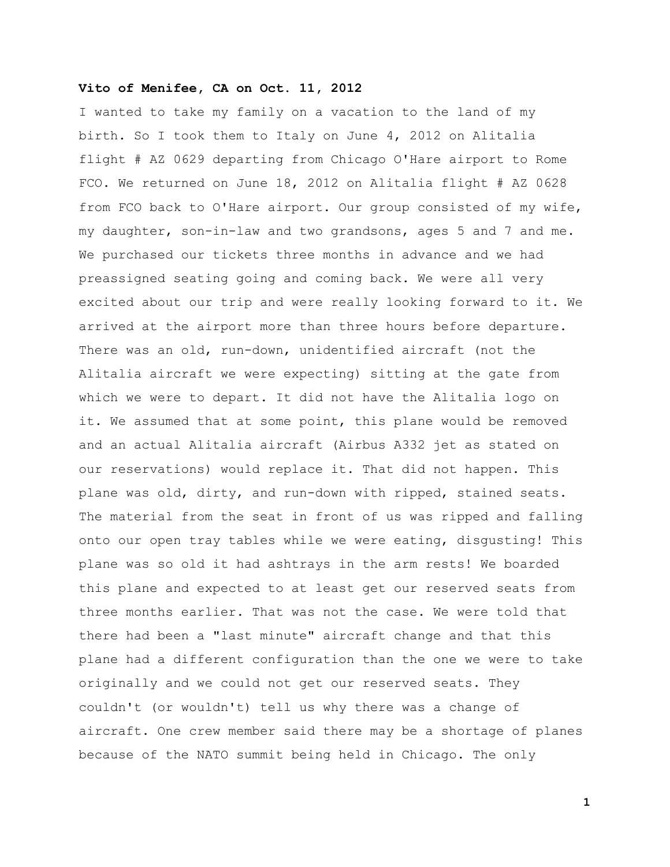## **Vito of Menifee, CA on Oct. 11, 2012**

I wanted to take my family on a vacation to the land of my birth. So I took them to Italy on June 4, 2012 on Alitalia flight # AZ 0629 departing from Chicago O'Hare airport to Rome FCO. We returned on June 18, 2012 on Alitalia flight # AZ 0628 from FCO back to O'Hare airport. Our group consisted of my wife, my daughter, son-in-law and two grandsons, ages 5 and 7 and me. We purchased our tickets three months in advance and we had preassigned seating going and coming back. We were all very excited about our trip and were really looking forward to it. We arrived at the airport more than three hours before departure. There was an old, run-down, unidentified aircraft (not the Alitalia aircraft we were expecting) sitting at the gate from which we were to depart. It did not have the Alitalia logo on it. We assumed that at some point, this plane would be removed and an actual Alitalia aircraft (Airbus A332 jet as stated on our reservations) would replace it. That did not happen. This plane was old, dirty, and run-down with ripped, stained seats. The material from the seat in front of us was ripped and falling onto our open tray tables while we were eating, disgusting! This plane was so old it had ashtrays in the arm rests! We boarded this plane and expected to at least get our reserved seats from three months earlier. That was not the case. We were told that there had been a "last minute" aircraft change and that this plane had a different configuration than the one we were to take originally and we could not get our reserved seats. They couldn't (or wouldn't) tell us why there was a change of aircraft. One crew member said there may be a shortage of planes because of the NATO summit being held in Chicago. The only

**1**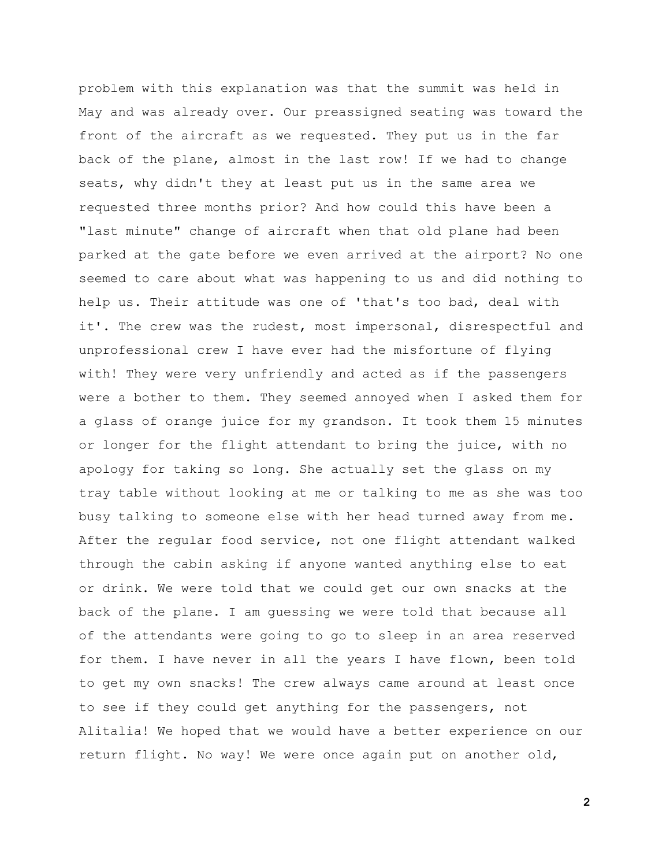problem with this explanation was that the summit was held in May and was already over. Our preassigned seating was toward the front of the aircraft as we requested. They put us in the far back of the plane, almost in the last row! If we had to change seats, why didn't they at least put us in the same area we requested three months prior? And how could this have been a "last minute" change of aircraft when that old plane had been parked at the gate before we even arrived at the airport? No one seemed to care about what was happening to us and did nothing to help us. Their attitude was one of 'that's too bad, deal with it'. The crew was the rudest, most impersonal, disrespectful and unprofessional crew I have ever had the misfortune of flying with! They were very unfriendly and acted as if the passengers were a bother to them. They seemed annoyed when I asked them for a glass of orange juice for my grandson. It took them 15 minutes or longer for the flight attendant to bring the juice, with no apology for taking so long. She actually set the glass on my tray table without looking at me or talking to me as she was too busy talking to someone else with her head turned away from me. After the regular food service, not one flight attendant walked through the cabin asking if anyone wanted anything else to eat or drink. We were told that we could get our own snacks at the back of the plane. I am guessing we were told that because all of the attendants were going to go to sleep in an area reserved for them. I have never in all the years I have flown, been told to get my own snacks! The crew always came around at least once to see if they could get anything for the passengers, not Alitalia! We hoped that we would have a better experience on our return flight. No way! We were once again put on another old,

**2**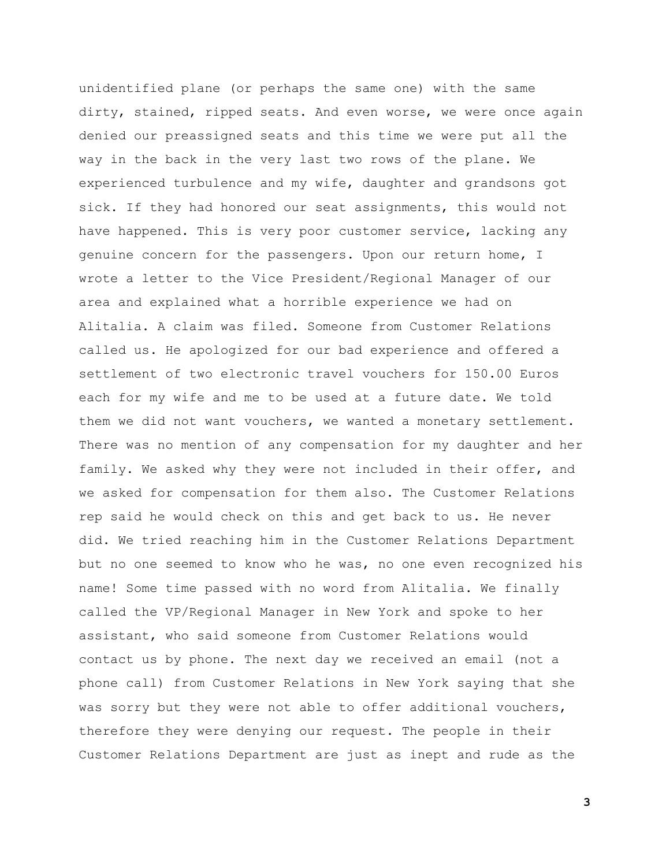unidentified plane (or perhaps the same one) with the same dirty, stained, ripped seats. And even worse, we were once again denied our preassigned seats and this time we were put all the way in the back in the very last two rows of the plane. We experienced turbulence and my wife, daughter and grandsons got sick. If they had honored our seat assignments, this would not have happened. This is very poor customer service, lacking any genuine concern for the passengers. Upon our return home, I wrote a letter to the Vice President/Regional Manager of our area and explained what a horrible experience we had on Alitalia. A claim was filed. Someone from Customer Relations called us. He apologized for our bad experience and offered a settlement of two electronic travel vouchers for 150.00 Euros each for my wife and me to be used at a future date. We told them we did not want vouchers, we wanted a monetary settlement. There was no mention of any compensation for my daughter and her family. We asked why they were not included in their offer, and we asked for compensation for them also. The Customer Relations rep said he would check on this and get back to us. He never did. We tried reaching him in the Customer Relations Department but no one seemed to know who he was, no one even recognized his name! Some time passed with no word from Alitalia. We finally called the VP/Regional Manager in New York and spoke to her assistant, who said someone from Customer Relations would contact us by phone. The next day we received an email (not a phone call) from Customer Relations in New York saying that she was sorry but they were not able to offer additional vouchers, therefore they were denying our request. The people in their Customer Relations Department are just as inept and rude as the

**3**